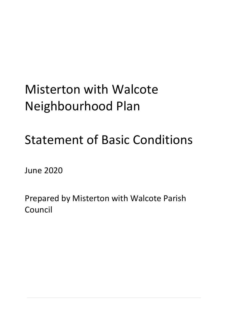# Misterton with Walcote Neighbourhood Plan

# Statement of Basic Conditions

June 2020

Prepared by Misterton with Walcote Parish Council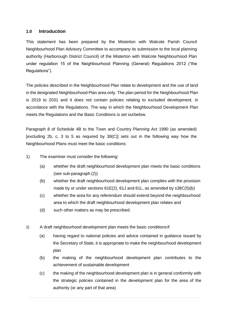#### **1.0 Introduction**

This statement has been prepared by the Misterton with Walcote Parish Council Neighbourhood Plan Advisory Committee to accompany its submission to the local planning authority (Harborough District Council) of the Misterton with Walcote Neighbourhood Plan under regulation 15 of the Neighbourhood Planning (General) Regulations 2012 ("the Regulations").

The policies described in the Neighbourhood Plan relate to development and the use of land in the designated Neighbourhood Plan area only. The plan period for the Neighbourhood Plan is 2019 to 2031 and it does not contain policies relating to excluded development, in accordance with the Regulations. The way in which the Neighbourhood Development Plan meets the Regulations and the Basic Conditions is set outbelow.

Paragraph 8 of Schedule 4B to the Town and Country Planning Act 1990 (as amended) [excluding 2b, c, 3 to 5 as required by 38(C)] sets out in the following way how the Neighbourhood Plans must meet the basic conditions:

- 1) The examiner must consider the following:
	- (a) whether the draft neighbourhood development plan meets the basic conditions (see sub-paragraph (2))
	- (b) whether the draft neighbourhood development plan complies with the provision made by or under sections 61E(2), 61J and 61L, as amended by s38C(5)(b)
	- (c) whether the area for any referendum should extend beyond the neighbourhood area to which the draft neighbourhood development plan relates and
	- (d) such other matters as may be prescribed.
- 2) A draft neighbourhood development plan meets the basic conditionsif:
	- (a) having regard to national policies and advice contained in guidance issued by the Secretary of State, it is appropriate to make the neighbourhood development plan
	- (b) the making of the neighbourhood development plan contributes to the achievement of sustainable development
	- (c) the making of the neighbourhood development plan is in general conformity with the strategic policies contained in the development plan for the area of the authority (or any part of that area)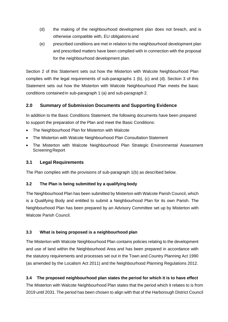- (d) the making of the neighbourhood development plan does not breach, and is otherwise compatible with, EU obligations and
- (e) prescribed conditions are met in relation to the neighbourhood development plan and prescribed matters have been complied with in connection with the proposal for the neighbourhood development plan.

Section 2 of this Statement sets out how the Misterton with Walcote Neighbourhood Plan complies with the legal requirements of sub-paragraphs 1 (b), (c) and (d). Section 3 of this Statement sets out how the Misterton with Walcote Neighbourhood Plan meets the basic conditions contained in sub-paragraph 1 (a) and sub-paragraph 2.

## **2.0 Summary of Submission Documents and Supporting Evidence**

In addition to the Basic Conditions Statement, the following documents have been prepared to support the preparation of the Plan and meet the Basic Conditions:

- The Neighbourhood Plan for Misterton with Walcote
- The Misterton with Walcote Neighbourhood Plan Consultation Statement
- The Misterton with Walcote Neighbourhood Plan Strategic Environmental Assessment Screening Report

## **3.1 Legal Requirements**

The Plan complies with the provisions of sub-paragraph 1(b) as described below.

### **3.2 The Plan is being submitted by a qualifying body**

The Neighbourhood Plan has been submitted by Misterton with Walcote Parish Council, which is a Qualifying Body and entitled to submit a Neighbourhood Plan for its own Parish. The Neighbourhood Plan has been prepared by an Advisory Committee set up by Misterton with Walcote Parish Council.

## **3.3 What is being proposed is a neighbourhood plan**

The Misterton with Walcote Neighbourhood Plan contains policies relating to the development and use of land within the Neighbourhood Area and has been prepared in accordance with the statutory requirements and processes set out in the Town and Country Planning Act 1990 (as amended by the Localism Act 2011) and the Neighbourhood Planning Regulations 2012.

## **3.4 The proposed neighbourhood plan states the period for which it is to have effect**

The Misterton with Walcote Neighbourhood Plan states that the period which it relates to is from 2019 until 2031. The period has been chosen to align with that of the Harborough District Council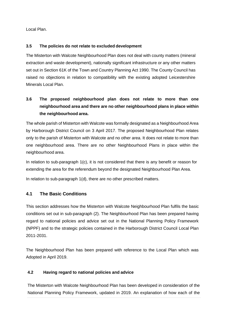Local Plan.

## **3.5 The policies do not relate to excluded development**

The Misterton with Walcote Neighbourhood Plan does not deal with county matters (mineral extraction and waste development), nationally significant infrastructure or any other matters set out in Section 61K of the Town and Country Planning Act 1990. The County Council has raised no objections in relation to compatibility with the existing adopted Leicestershire Minerals Local Plan.

## **3.6 The proposed neighbourhood plan does not relate to more than one neighbourhood area and there are no other neighbourhood plans in place within the neighbourhood area.**

The whole parish of Misterton with Walcote was formally designated as a Neighbourhood Area by Harborough District Council on 3 April 2017. The proposed Neighbourhood Plan relates only to the parish of Misterton with Walcote and no other area. It does not relate to more than one neighbourhood area. There are no other Neighbourhood Plans in place within the neighbourhood area.

In relation to sub-paragraph 1(c), it is not considered that there is any benefit or reason for extending the area for the referendum beyond the designated Neighbourhood Plan Area.

In relation to sub-paragraph 1(d), there are no other prescribed matters.

## **4.1 The Basic Conditions**

This section addresses how the Misterton with Walcote Neighbourhood Plan fulfils the basic conditions set out in sub-paragraph (2). The Neighbourhood Plan has been prepared having regard to national policies and advice set out in the National Planning Policy Framework (NPPF) and to the strategic policies contained in the Harborough District Council Local Plan 2011-2031.

The Neighbourhood Plan has been prepared with reference to the Local Plan which was Adopted in April 2019.

## **4.2 Having regard to national policies and advice**

The Misterton with Walcote Neighbourhood Plan has been developed in consideration of the National Planning Policy Framework, updated in 2019. An explanation of how each of the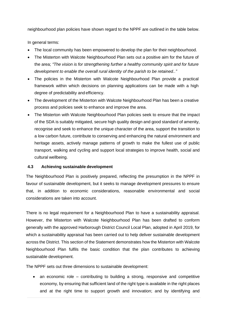neighbourhood plan policies have shown regard to the NPPF are outlined in the table below.

In general terms:

- The local community has been empowered to develop the plan for their neighbourhood.
- The Misterton with Walcote Neighbourhood Plan sets out a positive aim for the future of the area; *"The vision is for strengthening further a healthy community spirit and for future development to enable the overall rural identity of the parish to be retained.."*
- The policies in the Misterton with Walcote Neighbourhood Plan provide a practical framework within which decisions on planning applications can be made with a high degree of predictability and efficiency.
- The development of the Misterton with Walcote Neighbourhood Plan has been a creative process and policies seek to enhance and improve the area.
- The Misterton with Walcote Neighbourhood Plan policies seek to ensure that the impact of the SDA is suitably mitigated, secure high quality design and good standard of amenity, recognise and seek to enhance the unique character of the area, support the transition to a low carbon future, contribute to conserving and enhancing the natural environment and heritage assets, actively manage patterns of growth to make the fullest use of public transport, walking and cycling and support local strategies to improve health, social and cultural wellbeing.

### **4.3 Achieving sustainable development**

The Neighbourhood Plan is positively prepared, reflecting the presumption in the NPPF in favour of sustainable development, but it seeks to manage development pressures to ensure that, in addition to economic considerations, reasonable environmental and social considerations are taken into account.

There is no legal requirement for a Neighbourhood Plan to have a sustainability appraisal. However, the Misterton with Walcote Neighbourhood Plan has been drafted to conform generally with the approved Harborough District Council Local Plan, adopted in April 2019, for which a sustainability appraisal has been carried out to help deliver sustainable development across the District. This section of the Statement demonstrates how the Misterton with Walcote Neighbourhood Plan fulfils the basic condition that the plan contributes to achieving sustainable development.

The NPPF sets out three dimensions to sustainable development:

• an economic role – contributing to building a strong, responsive and competitive economy, by ensuring that sufficient land of the right type is available in the right places and at the right time to support growth and innovation; and by identifying and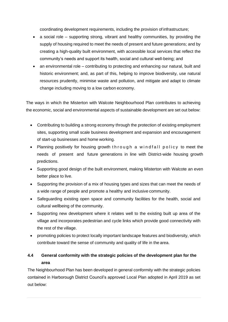coordinating development requirements, including the provision of infrastructure;

- a social role supporting strong, vibrant and healthy communities, by providing the supply of housing required to meet the needs of present and future generations; and by creating a high-quality built environment, with accessible local services that reflect the community's needs and support its health, social and cultural well-being; and
- an environmental role contributing to protecting and enhancing our natural, built and historic environment; and, as part of this, helping to improve biodiversity, use natural resources prudently, minimise waste and pollution, and mitigate and adapt to climate change including moving to a low carbon economy.

The ways in which the Misterton with Walcote Neighbourhood Plan contributes to achieving the economic, social and environmental aspects of sustainable development are set out below:

- Contributing to building a strong economy through the protection of existing employment sites, supporting small scale business development and expansion and encouragement of start-up businesses and home working.
- Planning positively for housing growth through a windfall policy to meet the needs of present and future generations in line with District-wide housing growth predictions.
- Supporting good design of the built environment, making Misterton with Walcote an even better place to live.
- Supporting the provision of a mix of housing types and sizes that can meet the needs of a wide range of people and promote a healthy and inclusive community.
- Safeguarding existing open space and community facilities for the health, social and cultural wellbeing of the community.
- Supporting new development where it relates well to the existing built up area of the village and incorporates pedestrian and cycle links which provide good connectivity with the rest of the village.
- promoting policies to protect locally important landscape features and biodiversity, which contribute toward the sense of community and quality of life in the area.

## **4.4 General conformity with the strategic policies of the development plan for the area**

The Neighbourhood Plan has been developed in general conformity with the strategic policies contained in Harborough District Council's approved Local Plan adopted in April 2019 as set out below: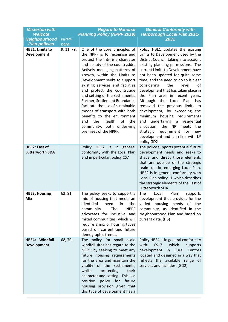| <b>Misterton with</b><br><b>Walcote</b>        |             | <b>Regard to National</b>                                                                                                                                                                                                                                                                                                                                                                                                                                                                                                                                                   | <b>General Conformity with</b>                                                                                                                                                                                                                                                                                                                                                                                                                                                                                                                                                                                                                                                                                               |
|------------------------------------------------|-------------|-----------------------------------------------------------------------------------------------------------------------------------------------------------------------------------------------------------------------------------------------------------------------------------------------------------------------------------------------------------------------------------------------------------------------------------------------------------------------------------------------------------------------------------------------------------------------------|------------------------------------------------------------------------------------------------------------------------------------------------------------------------------------------------------------------------------------------------------------------------------------------------------------------------------------------------------------------------------------------------------------------------------------------------------------------------------------------------------------------------------------------------------------------------------------------------------------------------------------------------------------------------------------------------------------------------------|
| Neighbourhood                                  | <b>NPPF</b> | <b>Planning Policy (NPPF 2019)</b>                                                                                                                                                                                                                                                                                                                                                                                                                                                                                                                                          | <b>Harborough Local Plan 2011-</b><br>2031                                                                                                                                                                                                                                                                                                                                                                                                                                                                                                                                                                                                                                                                                   |
| <b>Plan policies</b>                           | para        |                                                                                                                                                                                                                                                                                                                                                                                                                                                                                                                                                                             |                                                                                                                                                                                                                                                                                                                                                                                                                                                                                                                                                                                                                                                                                                                              |
| <b>HBE1: Limits to</b><br><b>Development</b>   | 9, 11, 79,  | One of the core principles of<br>the NPPF is to recognise and<br>protect the intrinsic character<br>and beauty of the countryside.<br>Actively managing patterns of<br>growth, within the Limits to<br>Development seeks to support<br>existing services and facilities<br>and protect the countryside<br>and setting of the settlements.<br>Further, Settlement Boundaries<br>facilitate the use of sustainable<br>modes of transport with both<br>benefits to the environment<br>of<br>and<br>the<br>health<br>the<br>community, both underlying<br>premises of the NPPF. | Policy HBE1 updates the existing<br>Limits to Development used by the<br>District Council, taking into account<br>existing planning permissions. The<br>current Limits to Development have<br>not been updated for quite some<br>time, and the need to do so is clear<br>considering<br>the<br>level<br>0f<br>development that has taken place in<br>the Plan area in recent years.<br>Plan<br>Although<br>the<br>Local<br>has<br>removed the previous limits to<br>development, by exceeding the<br>minimum<br>housing requirements<br>undertaking<br>residential<br>and<br>$\overline{a}$<br>the NP<br>allocation,<br>meets<br>the<br>strategic requirement for<br>new<br>development and is in line with LP<br>policy GD2 |
| <b>HBE2: East of</b><br><b>Lutterworth SDA</b> |             | HBE2 is in general<br>Policy<br>conformity with the Local Plan<br>and in particular, policy CS7                                                                                                                                                                                                                                                                                                                                                                                                                                                                             | The policy supports potential future<br>development needs and seeks to<br>shape and direct those elements<br>that are outside of the strategic<br>realm of the emerging Local Plan.<br>HBE2 is in general conformity with<br>Local Plan policy L1 which describes<br>the strategic elements of the East of<br>Lutterworth SDA                                                                                                                                                                                                                                                                                                                                                                                                |
| <b>HBE3: Housing</b><br><b>Mix</b>             | 62, 91      | The policy seeks to support a<br>mix of housing that meets an<br>identified<br>need<br>in<br>the<br>The<br><b>NPPF</b><br>community.<br>advocates for inclusive and<br>mixed communities, which will<br>require a mix of housing types<br>based on current and future<br>demographic trends.                                                                                                                                                                                                                                                                                | Plan<br>The<br>Local<br>supports<br>development that provides for the<br>housing<br>varied<br>needs<br>of<br>the<br>community, as identified in the<br>Neighbourhood Plan and based on<br>current data. (H5)                                                                                                                                                                                                                                                                                                                                                                                                                                                                                                                 |
| HBE4: Windfall<br><b>Development</b>           | 68, 70,     | The policy for small scale<br>windfall sites has regard to the<br>NPPF; by seeking to meet any<br>future housing requirements<br>for the area and maintain the<br>vitality of the settlements,<br>whilst<br>protecting<br>their<br>character and setting. This is a<br>policy for future<br>positive<br>housing provision given that<br>this type of development has a                                                                                                                                                                                                      | Policy HBE4 is in general conformity<br>with<br><b>CS17</b><br>which<br>supports<br>Rural<br>development<br>Centres<br>in<br>located and designed in a way that<br>reflects the available range of<br>services and facilities. (GD2)                                                                                                                                                                                                                                                                                                                                                                                                                                                                                         |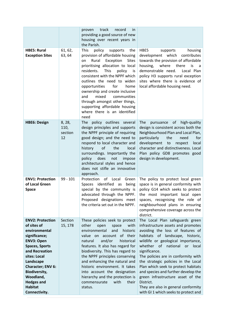|                                                                                                                                                                                                                                                                                                |                                 | track<br>record<br>in.<br>proven<br>providing a good source of new<br>housing over recent years in<br>the Parish.                                                                                                                                                                                                                                                                                                                                                         |                                                                                                                                                                                                                                                                                                                                                                                                                                                                                                                                                      |
|------------------------------------------------------------------------------------------------------------------------------------------------------------------------------------------------------------------------------------------------------------------------------------------------|---------------------------------|---------------------------------------------------------------------------------------------------------------------------------------------------------------------------------------------------------------------------------------------------------------------------------------------------------------------------------------------------------------------------------------------------------------------------------------------------------------------------|------------------------------------------------------------------------------------------------------------------------------------------------------------------------------------------------------------------------------------------------------------------------------------------------------------------------------------------------------------------------------------------------------------------------------------------------------------------------------------------------------------------------------------------------------|
| <b>HBE5: Rural</b><br><b>Exception Sites</b>                                                                                                                                                                                                                                                   | 61, 62,<br>63, 64               | This<br>policy<br>supports<br>the<br>provision of affordable housing<br>Rural Exception<br><b>Sites</b><br>on<br>prioritising allocation to local<br>residents.<br><b>This</b><br>policy<br>is<br>consistent with the NPPF which<br>outlines the need to widen<br>for<br>opportunities<br>home<br>ownership and create inclusive<br>mixed<br>and<br>communities<br>through amongst other things,<br>supporting affordable housing<br>where there is an identified<br>need | HBE5<br>housing<br>supports<br>development which<br>contributes<br>towards the provision of affordable<br>housing,<br>where<br>there<br>is<br>a<br>demonstrable need.<br>Local Plan<br>policy H3 supports rural exception<br>sites where there is evidence of<br>local affordable housing need.                                                                                                                                                                                                                                                      |
| <b>HBE6: Design</b>                                                                                                                                                                                                                                                                            | 8, 28,<br>110,<br>section<br>12 | policy outlines several<br>The<br>design principles and supports<br>the NPPF principle of requiring<br>good design; and the need to<br>respond to local character and<br>of<br>the<br>history<br>local<br>surroundings. Importantly the<br>does<br>not<br>policy<br>impose<br>architectural styles and hence<br>does not stifle an innovative<br>approach.                                                                                                                | The<br>high-quality<br>pursuance<br>of<br>design is consistent across both the<br>Neighbourhood Plan and Local Plan,<br>particularly<br>the<br>need<br>for<br>development<br>to<br>respect<br>local<br>character and distinctiveness. Local<br>Plan policy GD8 promotes good<br>design in development.                                                                                                                                                                                                                                               |
| <b>ENV1: Protection</b><br>of Local Green<br><b>Space</b>                                                                                                                                                                                                                                      | $99 - 101$                      | Protection<br>of Local<br>Green<br>identified<br>Spaces<br>as<br>being<br>special by the community is<br>advocated through the NPPF.<br>Proposed designations meet<br>the criteria set out in the NPPF.                                                                                                                                                                                                                                                                   | The policy to protect local green<br>space is in general conformity with<br>policy G14 which seeks to protect<br>the most important local open<br>spaces, recognising the role of<br>neighbourhood plans in ensuring<br>comprehensive coverage across the<br>district.                                                                                                                                                                                                                                                                               |
| <b>ENV2: Protection</b><br>of sites of<br>environmental<br>significance;<br><b>ENV3: Open</b><br><b>Spaces, Sports</b><br>and Recreation<br>sites: Local<br>Landscape<br><b>Character; ENV 6:</b><br><b>Biodiversity,</b><br>Woodland,<br><b>Hedges and</b><br><b>Habitat</b><br>Connectivity. | Section<br>15, 178              | These policies seek to protect<br>other<br>with<br>open<br>space<br>environmental<br>and<br>historic<br>of their<br>value on account<br>and/or<br>historical<br>natural<br>features. It also has regard for<br>biodiversity. This has regard to<br>the NPPF principles conserving<br>and enhancing the natural and<br>historic environment. It takes<br>into account the designation<br>hierarchy and the protection is<br>with<br>their<br>commensurate<br>status.       | The Local Plan safeguards green<br>infrastructure assets and promotes<br>avoiding the loss of features of<br>habitats<br>of landscape,<br>historic,<br>wildlife or geological importance,<br>whether of national<br>local<br><b>or</b><br>significance.<br>The policies are in conformity with<br>the strategic policies in the Local<br>Plan which seek to protect habitats<br>and species and further develop the<br>green infrastructure asset of the<br>District.<br>They are also in general conformity<br>with GI 1 which seeks to protect and |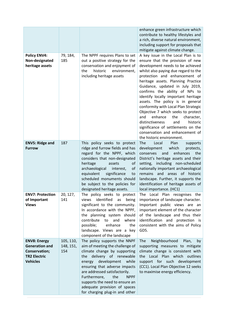|                                                                                                         |                               |                                                                                                                                                                                                                                                                                                                                                                               | enhance green infrastructure which<br>contribute to healthy lifestyles and<br>a rich, diverse natural environment,<br>including support for proposals that<br>mitigate against climate change.                                                                                                                                                                                                                                                                                                                                                                                                                                              |
|---------------------------------------------------------------------------------------------------------|-------------------------------|-------------------------------------------------------------------------------------------------------------------------------------------------------------------------------------------------------------------------------------------------------------------------------------------------------------------------------------------------------------------------------|---------------------------------------------------------------------------------------------------------------------------------------------------------------------------------------------------------------------------------------------------------------------------------------------------------------------------------------------------------------------------------------------------------------------------------------------------------------------------------------------------------------------------------------------------------------------------------------------------------------------------------------------|
| <b>Policy ENV4:</b><br>Non-designated<br>heritage assets                                                | 79, 184,<br>185               | The NPPF requires Plans to set<br>out a positive strategy for the<br>conservation and enjoyment of<br>historic<br>the<br>environment,<br>including heritage assets                                                                                                                                                                                                            | A key issue in the Local Plan is to<br>ensure that the provision of new<br>development needs to be achieved<br>whilst also paying due regard to the<br>protection and enhancement of<br>heritage assets. Planning Practice<br>Guidance, updated in July 2019,<br>confirms the ability of NPs to<br>identify locally important heritage<br>assets. The policy is in general<br>conformity with Local Plan Strategic<br>Objective 7 which seeks to protect<br>enhance<br>the<br>and<br>character,<br>distinctiveness<br>and<br>historic<br>significance of settlements on the<br>conservation and enhancement of<br>the historic environment. |
| <b>ENV5: Ridge and</b><br><b>Furrow</b>                                                                 | 187                           | This policy seeks to protect<br>ridge and furrow fields and has<br>regard for the NPPF, which<br>considers that non-designated<br>heritage<br>assets<br>οf<br>archaeological<br>of<br>interest,<br>equivalent<br>significance<br>to<br>scheduled monuments should<br>be subject to the policies for<br>designated heritage assets.                                            | The<br>Local<br>Plan<br>supports<br>development<br>which<br>protects,<br>enhances<br>the<br>conserves<br>and<br>District's heritage assets and their<br>setting, including non-scheduled<br>nationally important archaeological<br>remains and areas of historic<br>landscape. Further, it supports the<br>identification of heritage assets of<br>local importance. (HC1)                                                                                                                                                                                                                                                                  |
| <b>ENV7: Protection</b><br>of Important<br><b>Views</b>                                                 | 20, 127,<br>141               | The policy seeks to protect<br>identified<br>being<br>views<br>as<br>significant to the community.<br>In accordance with the NPPF,<br>the planning system should<br>contribute<br>to<br>and<br>where<br>possible;<br>enhance<br>the<br>landscape. Views are a key<br>component of the landscape                                                                               | The Local Plan recognises<br>the<br>importance of landscape character.<br>Important public views are an<br>important element of the character<br>of the landscape and thus their<br>identification and protection is<br>consistent with the aims of Policy<br>GD5.                                                                                                                                                                                                                                                                                                                                                                          |
| <b>ENV8: Energy</b><br><b>Generation and</b><br>Conservation;<br><b>TR2 Electric</b><br><b>Vehicles</b> | 105, 110,<br>148, 151,<br>154 | The policy supports the NNPF<br>aim of meeting the challenge of<br>climate change by supporting<br>delivery of renewable<br>the<br>development<br>while<br>energy<br>ensuring that adverse impacts<br>are addressed satisfactorily.<br>Furthermore,<br>the<br><b>NPPF</b><br>supports the need to ensure an<br>adequate provision of spaces<br>for charging plug-in and other | Neighbourhood<br>Plan,<br><b>The</b><br>by<br>supporting measures to mitigate<br>climate change is consistent with<br>the Local Plan which outlines<br>support for such development<br>(CC1). Local Plan Objective 12 seeks<br>to maximise energy efficiency.                                                                                                                                                                                                                                                                                                                                                                               |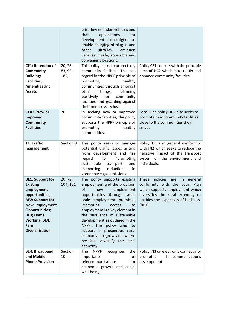| <b>CF1: Retention of</b><br>Community<br><b>Buildings</b><br>Facilities,<br><b>Amenities and</b><br><b>Assets</b>                                                                                                                     | 20, 28,<br>83, 92,<br>182, | ultra-low emission vehicles and<br>applications<br>that<br>for<br>development are designed to<br>enable charging of plug-in and<br>ultra-low<br>other<br>emission<br>vehicles in safe, accessible and<br>convenient locations.<br>This policy seeks to protect key<br>community facilities. This has<br>regard for the NPPF principle of<br>healthy<br>promoting<br>communities through amongst<br>other<br>planning<br>things,<br>for<br>community<br>positively<br>facilities and guarding against<br>their unnecessary loss. | Policy CF1 concurs with the principle<br>aims of HC2 which is to retain and<br>enhance community facilities.                                                                                             |
|---------------------------------------------------------------------------------------------------------------------------------------------------------------------------------------------------------------------------------------|----------------------------|---------------------------------------------------------------------------------------------------------------------------------------------------------------------------------------------------------------------------------------------------------------------------------------------------------------------------------------------------------------------------------------------------------------------------------------------------------------------------------------------------------------------------------|----------------------------------------------------------------------------------------------------------------------------------------------------------------------------------------------------------|
| <b>CFA2: New or</b><br><b>Improved</b><br>Community<br><b>Facilities</b>                                                                                                                                                              | 70                         | In seeking new or improved<br>community facilities, the policy<br>supports the NPPF principle of<br>promoting<br>healthy<br>communities.                                                                                                                                                                                                                                                                                                                                                                                        | Local Plan policy HC2 also seeks to<br>promote new community facilities<br>close to the communities they<br>serve.                                                                                       |
| <b>T1: Traffic</b><br>management                                                                                                                                                                                                      | Section 9                  | This policy seeks to manage<br>potential traffic issues arising<br>from development and has<br>for<br>'promoting<br>regard<br>sustainable<br>transport'<br>and<br>supporting<br>reductions<br>in<br>greenhouse gas emissions.                                                                                                                                                                                                                                                                                                   | Policy T1 is in general conformity<br>with IN2 which seeks to reduce the<br>negative impact of the transport<br>system on the environment and<br>individuals.                                            |
| <b>BE1: Support for</b><br><b>Existing</b><br>employment<br>opportunities;<br><b>BE2: Support for</b><br><b>New Employment</b><br><b>Opportunities;</b><br><b>BE3; Home</b><br><b>Working; BE4:</b><br>Farm<br><b>Diversification</b> | 20, 72,<br>104, 121        | The policy supports existing<br>employment and the provision<br>of<br>employment<br>new<br>opportunities through small<br>scale employment premises.<br>Promoting<br>access<br>to<br>employment is a key element in<br>the pursuance of sustainable<br>development as outlined in the<br>NPPF. The policy aims to<br>support a prosperous rural<br>economy, to grow and where<br>possible, diversify the local<br>economy.                                                                                                      | <b>These</b><br>policies<br>in<br>general<br>are<br>conformity with the Local Plan<br>which supports employment which<br>diversifies the rural economy or<br>enables the expansion of business.<br>(BE1) |
| <b>BE4: Broadband</b><br>and Mobile<br><b>Phone Provision</b>                                                                                                                                                                         | Section<br>10              | <b>NPPF</b><br>The<br>recognises<br>the<br>importance<br>οf<br>telecommunications<br>for<br>economic growth and social<br>well-being.                                                                                                                                                                                                                                                                                                                                                                                           | Policy IN3 on electronic connectivity<br>telecommunications<br>promotes<br>development.                                                                                                                  |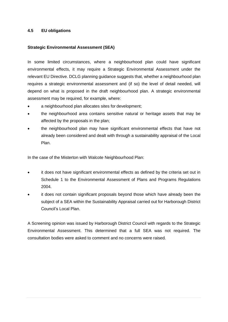#### **4.5 EU obligations**

#### **Strategic Environmental Assessment (SEA)**

In some limited circumstances, where a neighbourhood plan could have significant environmental effects, it may require a Strategic Environmental Assessment under the relevant EU Directive. DCLG planning guidance suggests that, whether a neighbourhood plan requires a strategic environmental assessment and (if so) the level of detail needed, will depend on what is proposed in the draft neighbourhood plan. A strategic environmental assessment may be required, for example, where:

- a neighbourhood plan allocates sites for development;
- the neighbourhood area contains sensitive natural or heritage assets that may be affected by the proposals in the plan;
- the neighbourhood plan may have significant environmental effects that have not already been considered and dealt with through a sustainability appraisal of the Local Plan.

In the case of the Misterton with Walcote Neighbourhood Plan:

- it does not have significant environmental effects as defined by the criteria set out in Schedule 1 to the Environmental Assessment of Plans and Programs Regulations 2004.
- it does not contain significant proposals beyond those which have already been the subject of a SEA within the Sustainability Appraisal carried out for Harborough District Council's Local Plan.

A Screening opinion was issued by Harborough District Council with regards to the Strategic Environmental Assessment. This determined that a full SEA was not required. The consultation bodies were asked to comment and no concerns were raised.